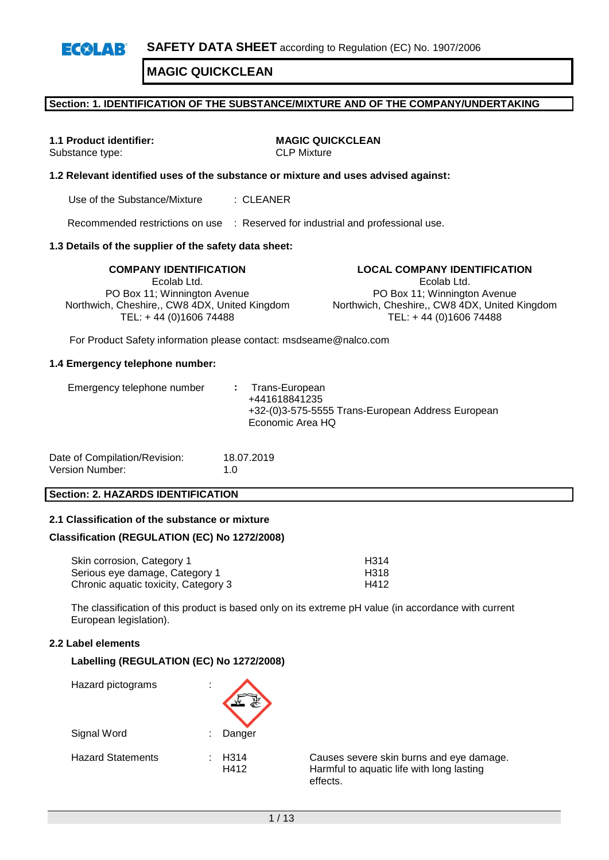### **Section: 1. IDENTIFICATION OF THE SUBSTANCE/MIXTURE AND OF THE COMPANY/UNDERTAKING**

Substance type:

**1.1 Product identifier: MAGIC QUICKCLEAN**

### **1.2 Relevant identified uses of the substance or mixture and uses advised against:**

Use of the Substance/Mixture : CLEANER

Recommended restrictions on use : Reserved for industrial and professional use.

#### **1.3 Details of the supplier of the safety data sheet:**

**COMPANY IDENTIFICATION LOCAL COMPANY IDENTIFICATION** Ecolab Ltd. PO Box 11; Winnington Avenue Northwich, Cheshire,, CW8 4DX, United Kingdom TEL: + 44 (0)1606 74488

Ecolab Ltd. PO Box 11; Winnington Avenue Northwich, Cheshire,, CW8 4DX, United Kingdom TEL: + 44 (0)1606 74488

For Product Safety information please contact: msdseame@nalco.com

#### **1.4 Emergency telephone number:**

| Date of Compilation/Revision: | 18.07.2019  |
|-------------------------------|-------------|
| Version Number:               | 1. $\Omega$ |

#### **Section: 2. HAZARDS IDENTIFICATION**

#### **2.1 Classification of the substance or mixture**

#### **Classification (REGULATION (EC) No 1272/2008)**

| Skin corrosion, Category 1           | H314 |
|--------------------------------------|------|
| Serious eye damage, Category 1       | H318 |
| Chronic aquatic toxicity, Category 3 | H412 |

The classification of this product is based only on its extreme pH value (in accordance with current European legislation).

### **2.2 Label elements**

#### **Labelling (REGULATION (EC) No 1272/2008)**



H412 Harmful to aquatic life with long lasting effects.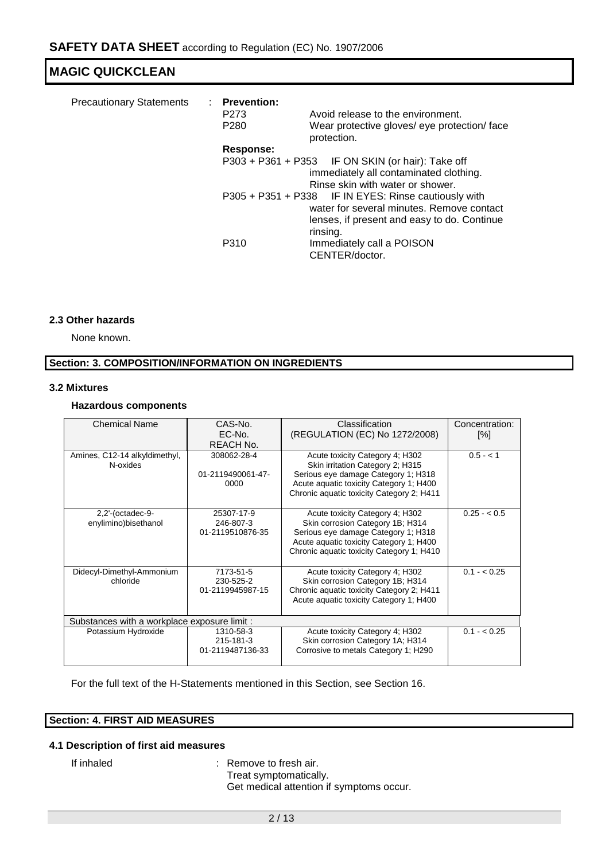| <b>Precautionary Statements</b> | : Prevention:<br>P273<br>P <sub>280</sub> | Avoid release to the environment.<br>Wear protective gloves/ eye protection/ face<br>protection.                                                             |
|---------------------------------|-------------------------------------------|--------------------------------------------------------------------------------------------------------------------------------------------------------------|
|                                 | Response:                                 |                                                                                                                                                              |
|                                 |                                           | P303 + P361 + P353 IF ON SKIN (or hair): Take off<br>immediately all contaminated clothing.<br>Rinse skin with water or shower.                              |
|                                 |                                           | P305 + P351 + P338 IF IN EYES: Rinse cautiously with<br>water for several minutes. Remove contact<br>lenses, if present and easy to do. Continue<br>rinsing. |
|                                 | P310                                      | Immediately call a POISON<br>CENTER/doctor.                                                                                                                  |

### **2.3 Other hazards**

None known.

### **Section: 3. COMPOSITION/INFORMATION ON INGREDIENTS**

### **3.2 Mixtures**

### **Hazardous components**

| <b>Chemical Name</b><br>CAS-No.              |                   | Classification                            | Concentration: |  |  |
|----------------------------------------------|-------------------|-------------------------------------------|----------------|--|--|
|                                              | EC-No.            | (REGULATION (EC) No 1272/2008)            | [%]            |  |  |
|                                              | <b>REACH No.</b>  |                                           |                |  |  |
| Amines, C12-14 alkyldimethyl,                | 308062-28-4       | Acute toxicity Category 4; H302           | $0.5 - < 1$    |  |  |
| N-oxides                                     |                   | Skin irritation Category 2; H315          |                |  |  |
|                                              | 01-2119490061-47- | Serious eye damage Category 1; H318       |                |  |  |
|                                              | 0000              | Acute aquatic toxicity Category 1; H400   |                |  |  |
|                                              |                   | Chronic aquatic toxicity Category 2; H411 |                |  |  |
|                                              |                   |                                           |                |  |  |
| $2.2$ '-(octadec-9-                          | 25307-17-9        | Acute toxicity Category 4; H302           | $0.25 - 0.5$   |  |  |
| enylimino)bisethanol                         | 246-807-3         | Skin corrosion Category 1B; H314          |                |  |  |
|                                              | 01-2119510876-35  | Serious eye damage Category 1; H318       |                |  |  |
|                                              |                   | Acute aquatic toxicity Category 1; H400   |                |  |  |
|                                              |                   | Chronic aquatic toxicity Category 1; H410 |                |  |  |
|                                              |                   |                                           |                |  |  |
| Didecyl-Dimethyl-Ammonium                    | 7173-51-5         | Acute toxicity Category 4; H302           | $0.1 - < 0.25$ |  |  |
| chloride                                     | 230-525-2         | Skin corrosion Category 1B; H314          |                |  |  |
|                                              | 01-2119945987-15  | Chronic aquatic toxicity Category 2; H411 |                |  |  |
|                                              |                   | Acute aquatic toxicity Category 1; H400   |                |  |  |
|                                              |                   |                                           |                |  |  |
| Substances with a workplace exposure limit : |                   |                                           |                |  |  |
| Potassium Hydroxide                          | 1310-58-3         | Acute toxicity Category 4; H302           | $0.1 - < 0.25$ |  |  |
|                                              | 215-181-3         | Skin corrosion Category 1A; H314          |                |  |  |
|                                              | 01-2119487136-33  | Corrosive to metals Category 1; H290      |                |  |  |
|                                              |                   |                                           |                |  |  |

For the full text of the H-Statements mentioned in this Section, see Section 16.

### **Section: 4. FIRST AID MEASURES**

### **4.1 Description of first aid measures**

If inhaled : Remove to fresh air. Treat symptomatically. Get medical attention if symptoms occur.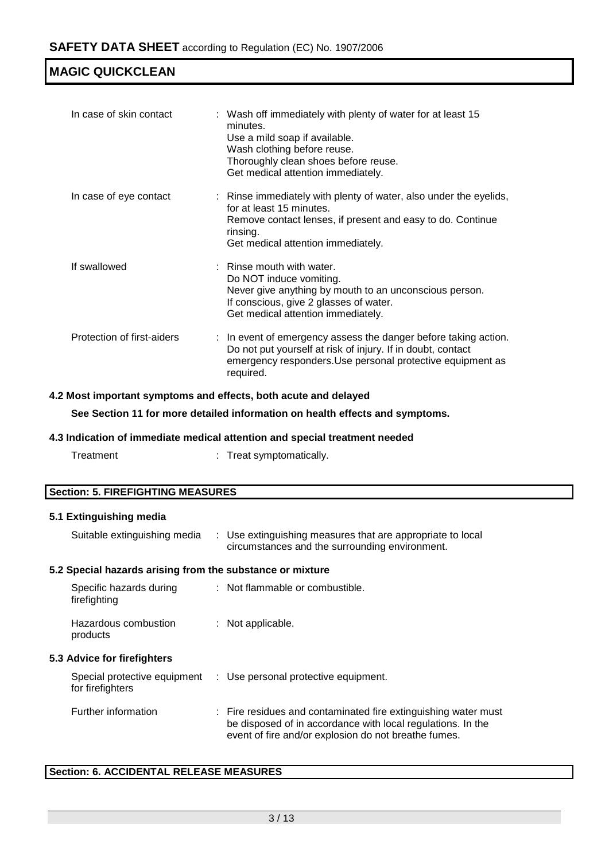| In case of skin contact    | : Wash off immediately with plenty of water for at least 15<br>minutes.<br>Use a mild soap if available.<br>Wash clothing before reuse.<br>Thoroughly clean shoes before reuse.<br>Get medical attention immediately. |
|----------------------------|-----------------------------------------------------------------------------------------------------------------------------------------------------------------------------------------------------------------------|
| In case of eye contact     | : Rinse immediately with plenty of water, also under the eyelids,<br>for at least 15 minutes.<br>Remove contact lenses, if present and easy to do. Continue<br>rinsing.<br>Get medical attention immediately.         |
| If swallowed               | $\therefore$ Rinse mouth with water.<br>Do NOT induce vomiting.<br>Never give anything by mouth to an unconscious person.<br>If conscious, give 2 glasses of water.<br>Get medical attention immediately.             |
| Protection of first-aiders | : In event of emergency assess the danger before taking action.<br>Do not put yourself at risk of injury. If in doubt, contact<br>emergency responders. Use personal protective equipment as<br>required.             |

### **4.2 Most important symptoms and effects, both acute and delayed**

**See Section 11 for more detailed information on health effects and symptoms.**

### **4.3 Indication of immediate medical attention and special treatment needed**

| Treatment | Treat symptomatically. |
|-----------|------------------------|
|           |                        |

| <b>Section: 5. FIREFIGHTING MEASURES</b> |  |
|------------------------------------------|--|
|------------------------------------------|--|

### **5.1 Extinguishing media**

| Suitable extinguishing media                              | : Use extinguishing measures that are appropriate to local<br>circumstances and the surrounding environment.                                                                          |
|-----------------------------------------------------------|---------------------------------------------------------------------------------------------------------------------------------------------------------------------------------------|
| 5.2 Special hazards arising from the substance or mixture |                                                                                                                                                                                       |
| Specific hazards during<br>firefighting                   | : Not flammable or combustible.                                                                                                                                                       |
| Hazardous combustion<br>products                          | : Not applicable.                                                                                                                                                                     |
| 5.3 Advice for firefighters                               |                                                                                                                                                                                       |
| for firefighters                                          | Special protective equipment : Use personal protective equipment.                                                                                                                     |
| Further information                                       | : Fire residues and contaminated fire extinguishing water must<br>be disposed of in accordance with local regulations. In the<br>event of fire and/or explosion do not breathe fumes. |

### **Section: 6. ACCIDENTAL RELEASE MEASURES**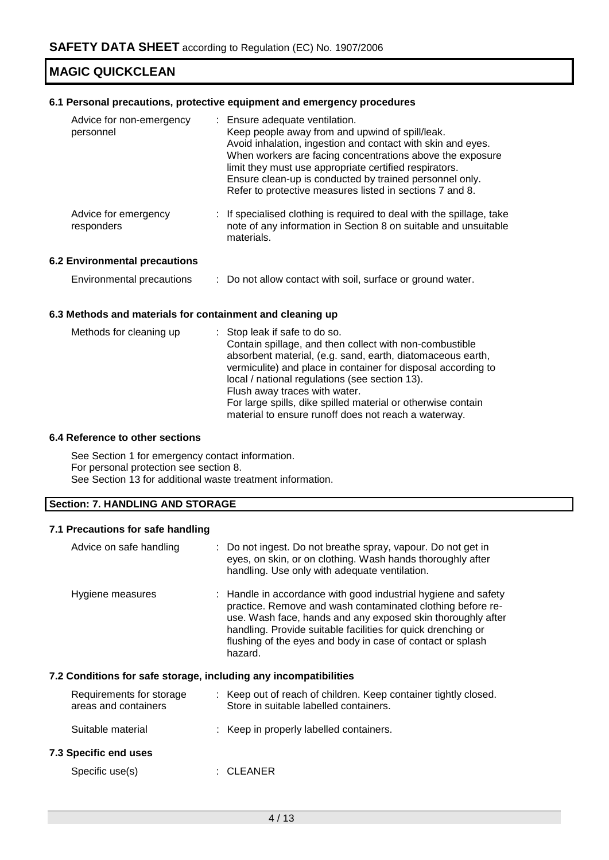### **6.1 Personal precautions, protective equipment and emergency procedures**

| Advice for non-emergency<br>personnel | : Ensure adequate ventilation.<br>Keep people away from and upwind of spill/leak.<br>Avoid inhalation, ingestion and contact with skin and eyes.<br>When workers are facing concentrations above the exposure<br>limit they must use appropriate certified respirators.<br>Ensure clean-up is conducted by trained personnel only.<br>Refer to protective measures listed in sections 7 and 8. |
|---------------------------------------|------------------------------------------------------------------------------------------------------------------------------------------------------------------------------------------------------------------------------------------------------------------------------------------------------------------------------------------------------------------------------------------------|
| Advice for emergency<br>responders    | : If specialised clothing is required to deal with the spillage, take<br>note of any information in Section 8 on suitable and unsuitable<br>materials.                                                                                                                                                                                                                                         |

### **6.2 Environmental precautions**

| Environmental precautions |  | : Do not allow contact with soil, surface or ground water. |  |
|---------------------------|--|------------------------------------------------------------|--|
|---------------------------|--|------------------------------------------------------------|--|

### **6.3 Methods and materials for containment and cleaning up**

| Methods for cleaning up | : Stop leak if safe to do so.                                 |
|-------------------------|---------------------------------------------------------------|
|                         | Contain spillage, and then collect with non-combustible       |
|                         | absorbent material, (e.g. sand, earth, diatomaceous earth,    |
|                         | vermiculite) and place in container for disposal according to |
|                         | local / national regulations (see section 13).                |
|                         | Flush away traces with water.                                 |
|                         | For large spills, dike spilled material or otherwise contain  |
|                         | material to ensure runoff does not reach a waterway.          |

### **6.4 Reference to other sections**

See Section 1 for emergency contact information. For personal protection see section 8. See Section 13 for additional waste treatment information.

### **Section: 7. HANDLING AND STORAGE**

### **7.1 Precautions for safe handling**

| Advice on safe handling                                          | : Do not ingest. Do not breathe spray, vapour. Do not get in<br>eyes, on skin, or on clothing. Wash hands thoroughly after<br>handling. Use only with adequate ventilation.                                                                                                                                                          |
|------------------------------------------------------------------|--------------------------------------------------------------------------------------------------------------------------------------------------------------------------------------------------------------------------------------------------------------------------------------------------------------------------------------|
| Hygiene measures                                                 | : Handle in accordance with good industrial hygiene and safety<br>practice. Remove and wash contaminated clothing before re-<br>use. Wash face, hands and any exposed skin thoroughly after<br>handling. Provide suitable facilities for quick drenching or<br>flushing of the eyes and body in case of contact or splash<br>hazard. |
| 7.2 Conditions for safe storage, including any incompatibilities |                                                                                                                                                                                                                                                                                                                                      |
| Requirements for storage<br>areas and containers                 | : Keep out of reach of children. Keep container tightly closed.<br>Store in suitable labelled containers.                                                                                                                                                                                                                            |
| Suitable material                                                | : Keep in properly labelled containers.                                                                                                                                                                                                                                                                                              |
| 7.3 Specific end uses                                            |                                                                                                                                                                                                                                                                                                                                      |
| Specific use(s)                                                  | <b>CLEANER</b>                                                                                                                                                                                                                                                                                                                       |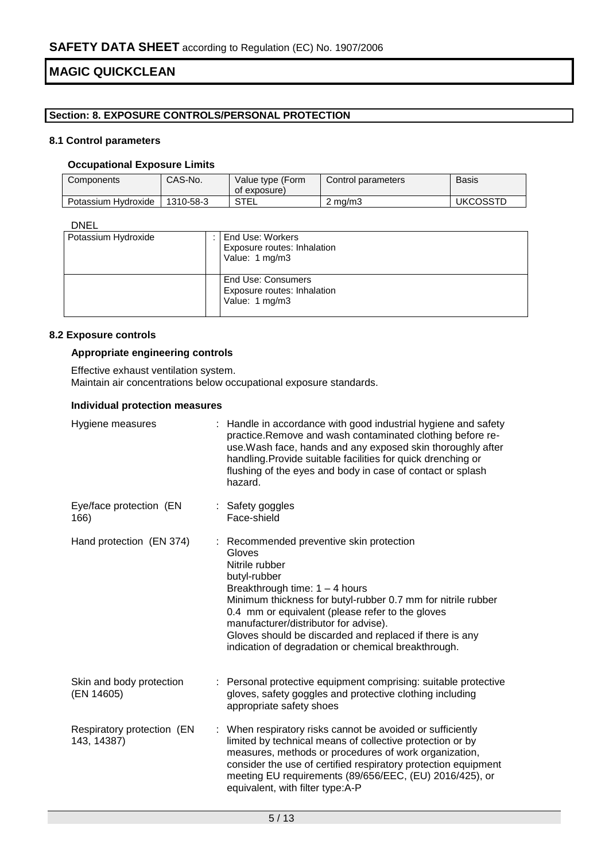### **Section: 8. EXPOSURE CONTROLS/PERSONAL PROTECTION**

### **8.1 Control parameters**

### **Occupational Exposure Limits**

| Components          | CAS-No.   | Value type (Form<br>of exposure) | Control parameters | Basis           |
|---------------------|-----------|----------------------------------|--------------------|-----------------|
| Potassium Hydroxide | 1310-58-3 | STEL                             | $2 \text{ ma/m}$   | <b>UKCOSSTD</b> |

DNEL

| Potassium Hydroxide | l End Use: Workers<br>Exposure routes: Inhalation<br>Value: 1 mg/m3 |
|---------------------|---------------------------------------------------------------------|
|                     | End Use: Consumers<br>Exposure routes: Inhalation<br>Value: 1 mg/m3 |

### **8.2 Exposure controls**

### **Appropriate engineering controls**

Effective exhaust ventilation system. Maintain air concentrations below occupational exposure standards.

### **Individual protection measures**

| Hygiene measures                          | Handle in accordance with good industrial hygiene and safety<br>practice.Remove and wash contaminated clothing before re-<br>use. Wash face, hands and any exposed skin thoroughly after<br>handling. Provide suitable facilities for quick drenching or<br>flushing of the eyes and body in case of contact or splash<br>hazard.                                                                       |
|-------------------------------------------|---------------------------------------------------------------------------------------------------------------------------------------------------------------------------------------------------------------------------------------------------------------------------------------------------------------------------------------------------------------------------------------------------------|
| Eye/face protection (EN<br>166)           | : Safety goggles<br>Face-shield                                                                                                                                                                                                                                                                                                                                                                         |
| Hand protection (EN 374)                  | : Recommended preventive skin protection<br>Gloves<br>Nitrile rubber<br>butyl-rubber<br>Breakthrough time: $1 - 4$ hours<br>Minimum thickness for butyl-rubber 0.7 mm for nitrile rubber<br>0.4 mm or equivalent (please refer to the gloves<br>manufacturer/distributor for advise).<br>Gloves should be discarded and replaced if there is any<br>indication of degradation or chemical breakthrough. |
| Skin and body protection<br>(EN 14605)    | : Personal protective equipment comprising: suitable protective<br>gloves, safety goggles and protective clothing including<br>appropriate safety shoes                                                                                                                                                                                                                                                 |
| Respiratory protection (EN<br>143, 14387) | : When respiratory risks cannot be avoided or sufficiently<br>limited by technical means of collective protection or by<br>measures, methods or procedures of work organization,<br>consider the use of certified respiratory protection equipment<br>meeting EU requirements (89/656/EEC, (EU) 2016/425), or<br>equivalent, with filter type:A-P                                                       |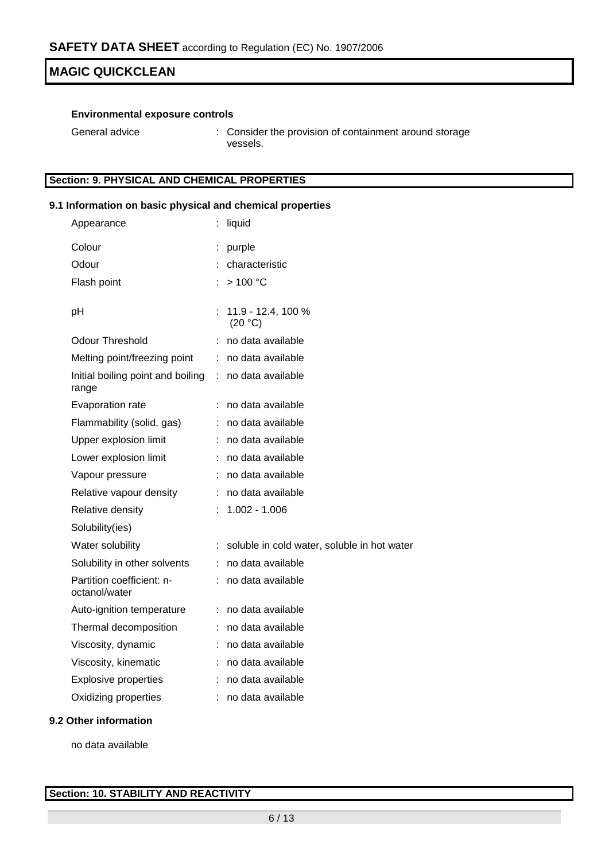### **Environmental exposure controls**

| General advice | : Consider the provision of containment around storage |
|----------------|--------------------------------------------------------|
|                | vessels.                                               |

### **Section: 9. PHYSICAL AND CHEMICAL PROPERTIES**

### **9.1 Information on basic physical and chemical properties**

| Appearance                                 |    | liquid                                      |
|--------------------------------------------|----|---------------------------------------------|
| Colour                                     |    | purple                                      |
| Odour                                      |    | characteristic                              |
| Flash point                                |    | >100 °C                                     |
| pH                                         |    | $: 11.9 - 12.4, 100 %$<br>(20 °C)           |
| Odour Threshold                            |    | : no data available                         |
| Melting point/freezing point               | t. | no data available                           |
| Initial boiling point and boiling<br>range |    | : no data available                         |
| Evaporation rate                           |    | no data available                           |
| Flammability (solid, gas)                  |    | : no data available                         |
| Upper explosion limit                      |    | : no data available                         |
| Lower explosion limit                      |    | : no data available                         |
| Vapour pressure                            |    | : no data available                         |
| Relative vapour density                    |    | : no data available                         |
| Relative density                           |    | $1.002 - 1.006$                             |
| Solubility(ies)                            |    |                                             |
| Water solubility                           |    | soluble in cold water, soluble in hot water |
| Solubility in other solvents               | t. | no data available                           |
| Partition coefficient: n-<br>octanol/water |    | : no data available                         |
| Auto-ignition temperature                  |    | : no data available                         |
| Thermal decomposition                      |    | : no data available                         |
| Viscosity, dynamic                         |    | : no data available                         |
| Viscosity, kinematic                       |    | : no data available                         |
| <b>Explosive properties</b>                |    | : no data available                         |
| Oxidizing properties                       | ÷  | no data available                           |
|                                            |    |                                             |

### **9.2 Other information**

no data available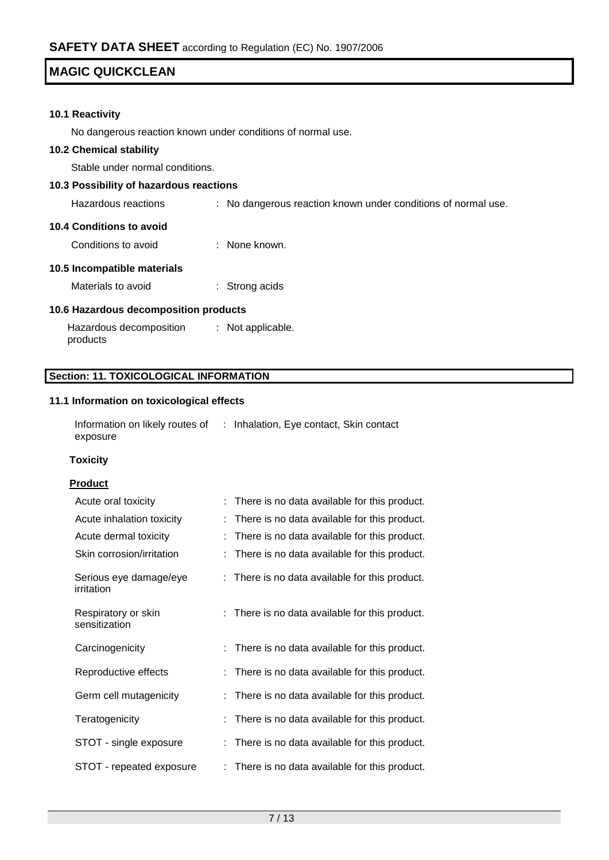### **10.1 Reactivity**

No dangerous reaction known under conditions of normal use.

#### **10.2 Chemical stability**

Stable under normal conditions.

### **10.3 Possibility of hazardous reactions**

Hazardous reactions : No dangerous reaction known under conditions of normal use.

#### **10.4 Conditions to avoid**

Conditions to avoid : None known.

### **10.5 Incompatible materials**

Materials to avoid : Strong acids

### **10.6 Hazardous decomposition products**

Hazardous decomposition products : Not applicable.

### **Section: 11. TOXICOLOGICAL INFORMATION**

#### **11.1 Information on toxicological effects**

Information on likely routes of : Inhalation, Eye contact, Skin contact exposure

### **Toxicity**

### **Product**

| Acute oral toxicity                  | : There is no data available for this product. |
|--------------------------------------|------------------------------------------------|
| Acute inhalation toxicity            | There is no data available for this product.   |
| Acute dermal toxicity                | There is no data available for this product.   |
| Skin corrosion/irritation            | : There is no data available for this product. |
| Serious eye damage/eye<br>irritation | : There is no data available for this product. |
| Respiratory or skin<br>sensitization | : There is no data available for this product. |
| Carcinogenicity                      | : There is no data available for this product. |
| Reproductive effects                 | There is no data available for this product.   |
| Germ cell mutagenicity               | There is no data available for this product.   |
| Teratogenicity                       | There is no data available for this product.   |
| STOT - single exposure               | There is no data available for this product.   |
| STOT - repeated exposure             | There is no data available for this product.   |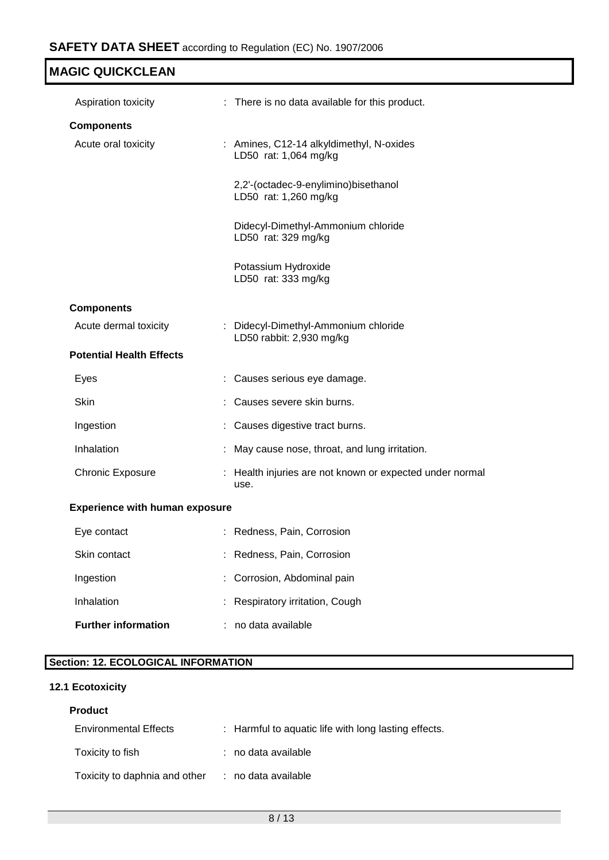| <b>MAGIC QUICKCLEAN</b>               |                                                                   |
|---------------------------------------|-------------------------------------------------------------------|
| Aspiration toxicity                   | : There is no data available for this product.                    |
| <b>Components</b>                     |                                                                   |
| Acute oral toxicity                   | : Amines, C12-14 alkyldimethyl, N-oxides<br>LD50 rat: 1,064 mg/kg |
|                                       | 2,2'-(octadec-9-enylimino)bisethanol<br>LD50 rat: 1,260 mg/kg     |
|                                       | Didecyl-Dimethyl-Ammonium chloride<br>LD50 rat: 329 mg/kg         |
|                                       | Potassium Hydroxide<br>LD50 rat: 333 mg/kg                        |
| <b>Components</b>                     |                                                                   |
| Acute dermal toxicity                 | : Didecyl-Dimethyl-Ammonium chloride<br>LD50 rabbit: 2,930 mg/kg  |
| <b>Potential Health Effects</b>       |                                                                   |
| Eyes                                  | Causes serious eye damage.                                        |
| Skin                                  | Causes severe skin burns.                                         |
| Ingestion                             | Causes digestive tract burns.                                     |
| Inhalation                            | May cause nose, throat, and lung irritation.                      |
| <b>Chronic Exposure</b>               | : Health injuries are not known or expected under normal<br>use.  |
| <b>Experience with human exposure</b> |                                                                   |
| Eye contact                           | Redness, Pain, Corrosion                                          |
| Skin contact                          | Redness, Pain, Corrosion                                          |
| Ingestion                             | Corrosion, Abdominal pain                                         |
| Inhalation                            | Respiratory irritation, Cough                                     |
| <b>Further information</b>            | no data available                                                 |

# **Section: 12. ECOLOGICAL INFORMATION**

## **12.1 Ecotoxicity**

### **Product**

| <b>Environmental Effects</b>  | : Harmful to aquatic life with long lasting effects. |
|-------------------------------|------------------------------------------------------|
| Toxicity to fish              | : no data available                                  |
| Toxicity to daphnia and other | : no data available                                  |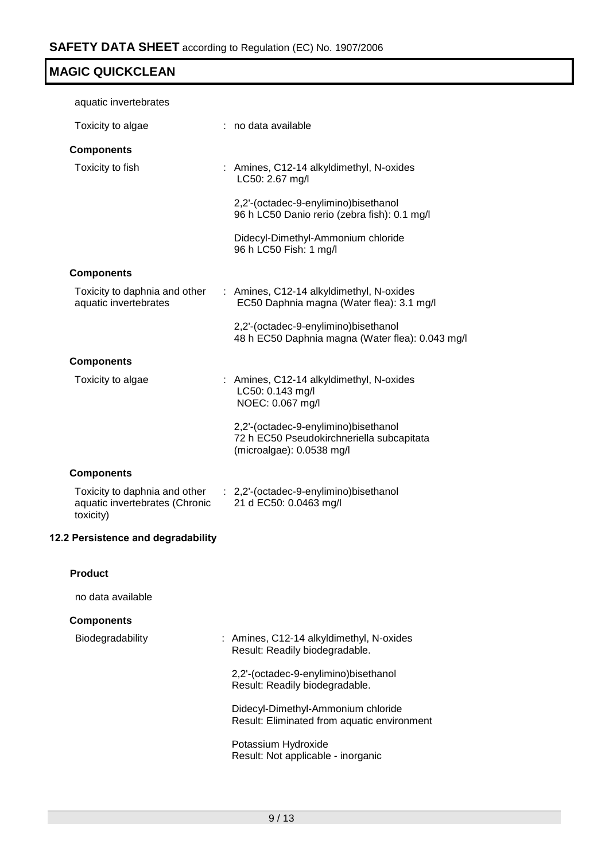| aquatic invertebrates                                                        |                                                                                                                |
|------------------------------------------------------------------------------|----------------------------------------------------------------------------------------------------------------|
| Toxicity to algae                                                            | : no data available                                                                                            |
| <b>Components</b>                                                            |                                                                                                                |
| Toxicity to fish                                                             | : Amines, C12-14 alkyldimethyl, N-oxides<br>LC50: 2.67 mg/l                                                    |
|                                                                              | 2,2'-(octadec-9-enylimino)bisethanol<br>96 h LC50 Danio rerio (zebra fish): 0.1 mg/l                           |
|                                                                              | Didecyl-Dimethyl-Ammonium chloride<br>96 h LC50 Fish: 1 mg/l                                                   |
| <b>Components</b>                                                            |                                                                                                                |
| Toxicity to daphnia and other<br>aquatic invertebrates                       | : Amines, C12-14 alkyldimethyl, N-oxides<br>EC50 Daphnia magna (Water flea): 3.1 mg/l                          |
|                                                                              | 2,2'-(octadec-9-enylimino)bisethanol<br>48 h EC50 Daphnia magna (Water flea): 0.043 mg/l                       |
| <b>Components</b>                                                            |                                                                                                                |
| Toxicity to algae                                                            | : Amines, C12-14 alkyldimethyl, N-oxides<br>LC50: 0.143 mg/l<br>NOEC: 0.067 mg/l                               |
|                                                                              | 2,2'-(octadec-9-enylimino)bisethanol<br>72 h EC50 Pseudokirchneriella subcapitata<br>(microalgae): 0.0538 mg/l |
| <b>Components</b>                                                            |                                                                                                                |
| Toxicity to daphnia and other<br>aquatic invertebrates (Chronic<br>toxicity) | : 2,2'-(octadec-9-enylimino)bisethanol<br>21 d EC50: 0.0463 mg/l                                               |
| 12.2 Persistence and degradability                                           |                                                                                                                |
| <b>Product</b>                                                               |                                                                                                                |
| no data available                                                            |                                                                                                                |
| <b>Components</b>                                                            |                                                                                                                |
| Biodegradability                                                             | : Amines, C12-14 alkyldimethyl, N-oxides<br>Result: Readily biodegradable.                                     |
|                                                                              | 2,2'-(octadec-9-enylimino)bisethanol<br>Result: Readily biodegradable.                                         |
|                                                                              | Didecyl-Dimethyl-Ammonium chloride<br>Result: Eliminated from aquatic environment                              |
|                                                                              | Potassium Hydroxide<br>Result: Not applicable - inorganic                                                      |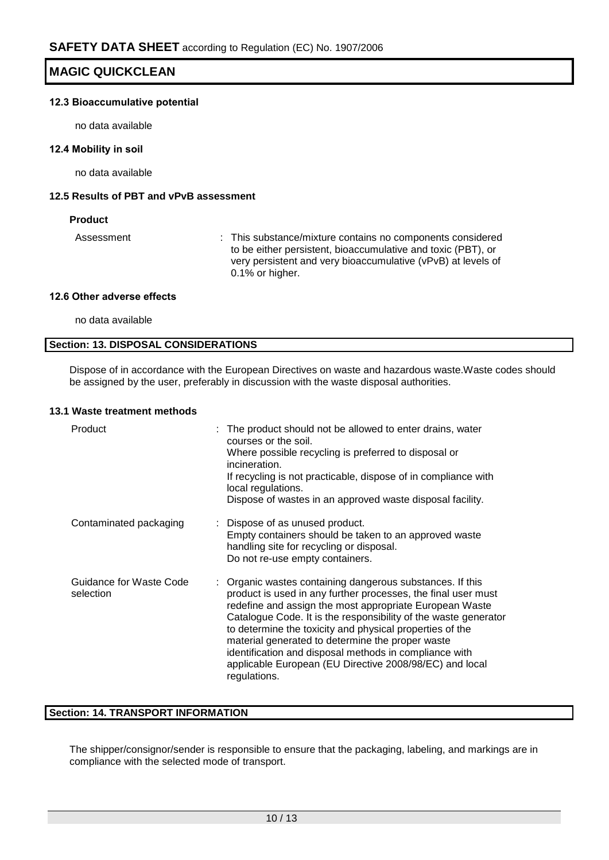### **12.3 Bioaccumulative potential**

no data available

### **12.4 Mobility in soil**

no data available

### **12.5 Results of PBT and vPvB assessment**

### **Product**

Assessment : This substance/mixture contains no components considered to be either persistent, bioaccumulative and toxic (PBT), or very persistent and very bioaccumulative (vPvB) at levels of 0.1% or higher.

### **12.6 Other adverse effects**

no data available

### **Section: 13. DISPOSAL CONSIDERATIONS**

Dispose of in accordance with the European Directives on waste and hazardous waste.Waste codes should be assigned by the user, preferably in discussion with the waste disposal authorities.

#### **13.1 Waste treatment methods**

| Product                              | : The product should not be allowed to enter drains, water<br>courses or the soil.<br>Where possible recycling is preferred to disposal or<br>incineration.<br>If recycling is not practicable, dispose of in compliance with<br>local regulations.<br>Dispose of wastes in an approved waste disposal facility.                                                                                                                                                                                              |
|--------------------------------------|---------------------------------------------------------------------------------------------------------------------------------------------------------------------------------------------------------------------------------------------------------------------------------------------------------------------------------------------------------------------------------------------------------------------------------------------------------------------------------------------------------------|
| Contaminated packaging               | : Dispose of as unused product.<br>Empty containers should be taken to an approved waste<br>handling site for recycling or disposal.<br>Do not re-use empty containers.                                                                                                                                                                                                                                                                                                                                       |
| Guidance for Waste Code<br>selection | : Organic wastes containing dangerous substances. If this<br>product is used in any further processes, the final user must<br>redefine and assign the most appropriate European Waste<br>Catalogue Code. It is the responsibility of the waste generator<br>to determine the toxicity and physical properties of the<br>material generated to determine the proper waste<br>identification and disposal methods in compliance with<br>applicable European (EU Directive 2008/98/EC) and local<br>regulations. |

### **Section: 14. TRANSPORT INFORMATION**

The shipper/consignor/sender is responsible to ensure that the packaging, labeling, and markings are in compliance with the selected mode of transport.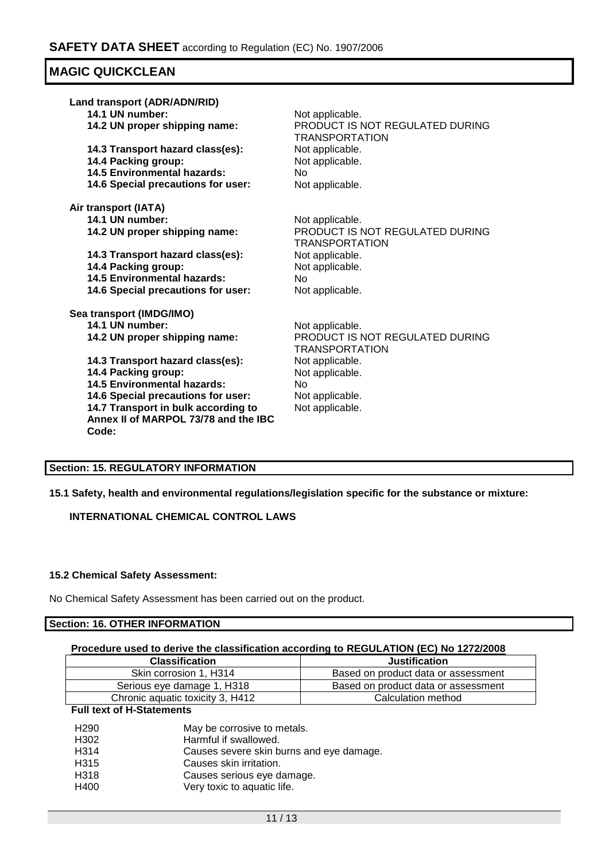| Land transport (ADR/ADN/RID)                                                                                                                                                                                                                                                                                | Not applicable.                                                                                                                                               |
|-------------------------------------------------------------------------------------------------------------------------------------------------------------------------------------------------------------------------------------------------------------------------------------------------------------|---------------------------------------------------------------------------------------------------------------------------------------------------------------|
| 14.1 UN number:                                                                                                                                                                                                                                                                                             | PRODUCT IS NOT REGULATED DURING                                                                                                                               |
| 14.2 UN proper shipping name:                                                                                                                                                                                                                                                                               | TRANSPORTATION                                                                                                                                                |
| 14.3 Transport hazard class(es):                                                                                                                                                                                                                                                                            | Not applicable.                                                                                                                                               |
| 14.4 Packing group:                                                                                                                                                                                                                                                                                         | Not applicable.                                                                                                                                               |
| <b>14.5 Environmental hazards:</b>                                                                                                                                                                                                                                                                          | <b>No</b>                                                                                                                                                     |
| 14.6 Special precautions for user:                                                                                                                                                                                                                                                                          | Not applicable.                                                                                                                                               |
| Air transport (IATA)                                                                                                                                                                                                                                                                                        | Not applicable.                                                                                                                                               |
| 14.1 UN number:                                                                                                                                                                                                                                                                                             | PRODUCT IS NOT REGULATED DURING                                                                                                                               |
| 14.2 UN proper shipping name:                                                                                                                                                                                                                                                                               | <b>TRANSPORTATION</b>                                                                                                                                         |
| 14.3 Transport hazard class(es):                                                                                                                                                                                                                                                                            | Not applicable.                                                                                                                                               |
| 14.4 Packing group:                                                                                                                                                                                                                                                                                         | Not applicable.                                                                                                                                               |
| <b>14.5 Environmental hazards:</b>                                                                                                                                                                                                                                                                          | No.                                                                                                                                                           |
| 14.6 Special precautions for user:                                                                                                                                                                                                                                                                          | Not applicable.                                                                                                                                               |
| Sea transport (IMDG/IMO)<br>14.1 UN number:<br>14.2 UN proper shipping name:<br>14.3 Transport hazard class(es):<br>14.4 Packing group:<br><b>14.5 Environmental hazards:</b><br>14.6 Special precautions for user:<br>14.7 Transport in bulk according to<br>Annex II of MARPOL 73/78 and the IBC<br>Code: | Not applicable.<br>PRODUCT IS NOT REGULATED DURING<br><b>TRANSPORTATION</b><br>Not applicable.<br>Not applicable.<br>No<br>Not applicable.<br>Not applicable. |

### **Section: 15. REGULATORY INFORMATION**

**15.1 Safety, health and environmental regulations/legislation specific for the substance or mixture:**

**INTERNATIONAL CHEMICAL CONTROL LAWS**

### **15.2 Chemical Safety Assessment:**

No Chemical Safety Assessment has been carried out on the product.

### **Section: 16. OTHER INFORMATION**

### **Procedure used to derive the classification according to REGULATION (EC) No 1272/2008**

| <b>Classification</b>            | <b>Justification</b>                |
|----------------------------------|-------------------------------------|
| Skin corrosion 1. H314           | Based on product data or assessment |
| Serious eye damage 1, H318       | Based on product data or assessment |
| Chronic aquatic toxicity 3, H412 | Calculation method                  |

### **Full text of H-Statements**

| H <sub>290</sub>  | May be corrosive to metals.              |
|-------------------|------------------------------------------|
| H <sub>302</sub>  | Harmful if swallowed.                    |
| H <sub>314</sub>  | Causes severe skin burns and eye damage. |
| H <sub>3</sub> 15 | Causes skin irritation.                  |
| H318              | Causes serious eye damage.               |
| H400              | Very toxic to aquatic life.              |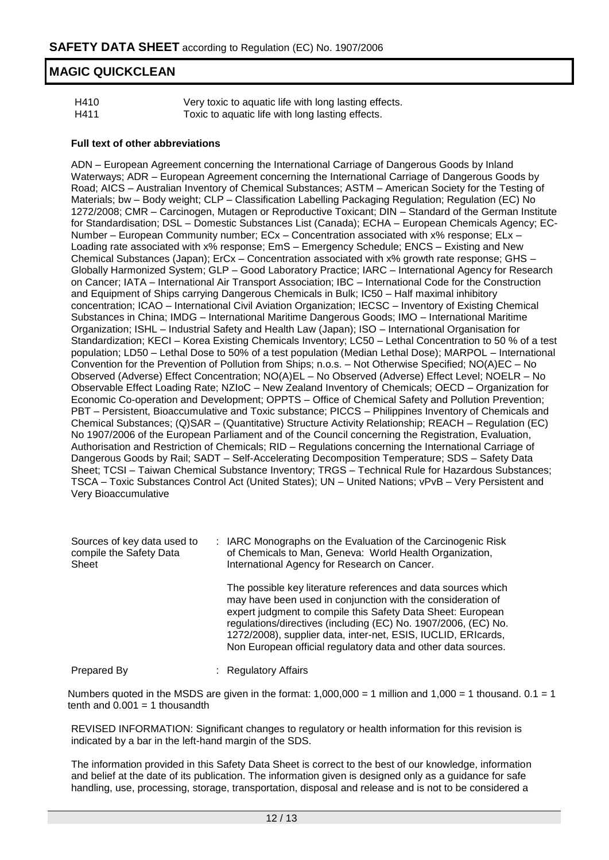| H410 | Very toxic to aquatic life with long lasting effects. |
|------|-------------------------------------------------------|
| H411 | Toxic to aquatic life with long lasting effects.      |

### **Full text of other abbreviations**

ADN – European Agreement concerning the International Carriage of Dangerous Goods by Inland Waterways; ADR – European Agreement concerning the International Carriage of Dangerous Goods by Road; AICS – Australian Inventory of Chemical Substances; ASTM – American Society for the Testing of Materials; bw – Body weight; CLP – Classification Labelling Packaging Regulation; Regulation (EC) No 1272/2008; CMR – Carcinogen, Mutagen or Reproductive Toxicant; DIN – Standard of the German Institute for Standardisation; DSL – Domestic Substances List (Canada); ECHA – European Chemicals Agency; EC-Number – European Community number; ECx – Concentration associated with x% response; ELx – Loading rate associated with x% response; EmS – Emergency Schedule; ENCS – Existing and New Chemical Substances (Japan); ErCx – Concentration associated with x% growth rate response; GHS – Globally Harmonized System; GLP – Good Laboratory Practice; IARC – International Agency for Research on Cancer; IATA – International Air Transport Association; IBC – International Code for the Construction and Equipment of Ships carrying Dangerous Chemicals in Bulk; IC50 – Half maximal inhibitory concentration; ICAO – International Civil Aviation Organization; IECSC – Inventory of Existing Chemical Substances in China; IMDG – International Maritime Dangerous Goods; IMO – International Maritime Organization; ISHL – Industrial Safety and Health Law (Japan); ISO – International Organisation for Standardization; KECI – Korea Existing Chemicals Inventory; LC50 – Lethal Concentration to 50 % of a test population; LD50 – Lethal Dose to 50% of a test population (Median Lethal Dose); MARPOL – International Convention for the Prevention of Pollution from Ships; n.o.s. – Not Otherwise Specified; NO(A)EC – No Observed (Adverse) Effect Concentration; NO(A)EL – No Observed (Adverse) Effect Level; NOELR – No Observable Effect Loading Rate; NZIoC – New Zealand Inventory of Chemicals; OECD – Organization for Economic Co-operation and Development; OPPTS – Office of Chemical Safety and Pollution Prevention; PBT – Persistent, Bioaccumulative and Toxic substance; PICCS – Philippines Inventory of Chemicals and Chemical Substances; (Q)SAR – (Quantitative) Structure Activity Relationship; REACH – Regulation (EC) No 1907/2006 of the European Parliament and of the Council concerning the Registration, Evaluation, Authorisation and Restriction of Chemicals; RID – Regulations concerning the International Carriage of Dangerous Goods by Rail; SADT – Self-Accelerating Decomposition Temperature; SDS – Safety Data Sheet; TCSI – Taiwan Chemical Substance Inventory; TRGS – Technical Rule for Hazardous Substances; TSCA – Toxic Substances Control Act (United States); UN – United Nations; vPvB – Very Persistent and Very Bioaccumulative

| Sources of key data used to<br>compile the Safety Data<br>Sheet | : IARC Monographs on the Evaluation of the Carcinogenic Risk<br>of Chemicals to Man, Geneva: World Health Organization,<br>International Agency for Research on Cancer.                                                                                                                                                                                                                         |
|-----------------------------------------------------------------|-------------------------------------------------------------------------------------------------------------------------------------------------------------------------------------------------------------------------------------------------------------------------------------------------------------------------------------------------------------------------------------------------|
|                                                                 | The possible key literature references and data sources which<br>may have been used in conjunction with the consideration of<br>expert judgment to compile this Safety Data Sheet: European<br>regulations/directives (including (EC) No. 1907/2006, (EC) No.<br>1272/2008), supplier data, inter-net, ESIS, IUCLID, ERIcards,<br>Non European official regulatory data and other data sources. |
| Prepared By                                                     | <b>Regulatory Affairs</b>                                                                                                                                                                                                                                                                                                                                                                       |

Numbers quoted in the MSDS are given in the format:  $1,000,000 = 1$  million and  $1,000 = 1$  thousand.  $0.1 = 1$ tenth and  $0.001 = 1$  thousandth

REVISED INFORMATION: Significant changes to regulatory or health information for this revision is indicated by a bar in the left-hand margin of the SDS.

The information provided in this Safety Data Sheet is correct to the best of our knowledge, information and belief at the date of its publication. The information given is designed only as a guidance for safe handling, use, processing, storage, transportation, disposal and release and is not to be considered a